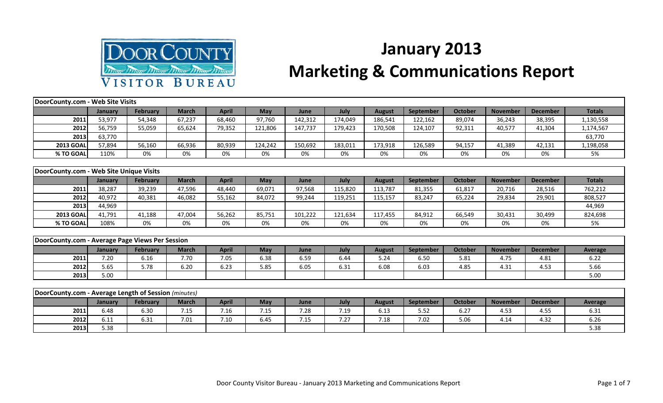

## **January 2013**

## **Marketing & Communications Report**

| DoorCounty.com - Web Site Visits                     |         |                 |              |              |            |         |         |               |                  |                |                 |                 |                |
|------------------------------------------------------|---------|-----------------|--------------|--------------|------------|---------|---------|---------------|------------------|----------------|-----------------|-----------------|----------------|
|                                                      | January | <b>February</b> | <b>March</b> | <b>April</b> | <b>May</b> | June    | July    | <b>August</b> | <b>September</b> | <b>October</b> | <b>November</b> | <b>December</b> | <b>Totals</b>  |
| 2011                                                 | 53,977  | 54,348          | 67,237       | 68,460       | 97,760     | 142,312 | 174,049 | 186,541       | 122,162          | 89,074         | 36,243          | 38,395          | 1,130,558      |
| 2012                                                 | 56,759  | 55,059          | 65,624       | 79,352       | 121,806    | 147,737 | 179,423 | 170,508       | 124,107          | 92,311         | 40,577          | 41,304          | 1,174,567      |
| 2013                                                 | 63,770  |                 |              |              |            |         |         |               |                  |                |                 |                 | 63,770         |
| <b>2013 GOAL</b>                                     | 57,894  | 56,160          | 66,936       | 80,939       | 124,242    | 150,692 | 183,011 | 173,918       | 126,589          | 94,157         | 41,389          | 42,131          | 1,198,058      |
| % TO GOAL                                            | 110%    | 0%              | 0%           | 0%           | 0%         | 0%      | 0%      | 0%            | 0%               | 0%             | 0%              | 0%              | 5%             |
|                                                      |         |                 |              |              |            |         |         |               |                  |                |                 |                 |                |
| DoorCounty.com - Web Site Unique Visits              |         |                 |              |              |            |         |         |               |                  |                |                 |                 |                |
|                                                      | January | <b>February</b> | <b>March</b> | <b>April</b> | May        | June    | July    | <b>August</b> | <b>September</b> | <b>October</b> | <b>November</b> | <b>December</b> | <b>Totals</b>  |
| 2011                                                 | 38,287  | 39,239          | 47,596       | 48,440       | 69,071     | 97,568  | 115,820 | 113,787       | 81,355           | 61,817         | 20,716          | 28,516          | 762,212        |
| 2012                                                 | 40,972  | 40,381          | 46,082       | 55,162       | 84,072     | 99,244  | 119,251 | 115,157       | 83,247           | 65,224         | 29,834          | 29,901          | 808,527        |
| 2013                                                 | 44,969  |                 |              |              |            |         |         |               |                  |                |                 |                 | 44,969         |
| <b>2013 GOAL</b>                                     | 41,791  | 41,188          | 47,004       | 56,262       | 85,751     | 101,222 | 121,634 | 117,455       | 84,912           | 66,549         | 30,431          | 30,499          | 824,698        |
| % TO GOAL                                            | 108%    | 0%              | 0%           | 0%           | 0%         | 0%      | 0%      | 0%            | 0%               | 0%             | 0%              | 0%              | 5%             |
|                                                      |         |                 |              |              |            |         |         |               |                  |                |                 |                 |                |
| DoorCounty.com - Average Page Views Per Session      |         |                 |              |              |            |         |         |               |                  |                |                 |                 |                |
|                                                      | January | February        | <b>March</b> | <b>April</b> | May        | June    | July    | <b>August</b> | <b>September</b> | <b>October</b> | <b>November</b> | <b>December</b> | <b>Average</b> |
| 2011                                                 | 7.20    | 6.16            | 7.70         | 7.05         | 6.38       | 6.59    | 6.44    | 5.24          | 6.50             | 5.81           | 4.75            | 4.81            | 6.22           |
| 2012                                                 | 5.65    | 5.78            | 6.20         | 6.23         | 5.85       | 6.05    | 6.31    | 6.08          | 6.03             | 4.85           | 4.31            | 4.53            | 5.66           |
| 2013                                                 | 5.00    |                 |              |              |            |         |         |               |                  |                |                 |                 | 5.00           |
|                                                      |         |                 |              |              |            |         |         |               |                  |                |                 |                 |                |
| DoorCounty.com - Average Length of Session (minutes) |         |                 |              |              |            |         |         |               |                  |                |                 |                 |                |
|                                                      | January | February        | <b>March</b> | <b>April</b> | May        | June    | July    | <b>August</b> | <b>September</b> | <b>October</b> | <b>November</b> | <b>December</b> | <b>Average</b> |
| 2011                                                 | 6.48    | 6.30            | 7.15         | 7.16         | 7.15       | 7.28    | 7.19    | 6.13          | 5.52             | 6.27           | 4.53            | 4.55            | 6.31           |

**2012** 6.11 6.31 7.01 7.10 6.45 7.15 7.27 7.18 7.02 5.06 4.14 4.32 6.26 **2013** 5.38 5.38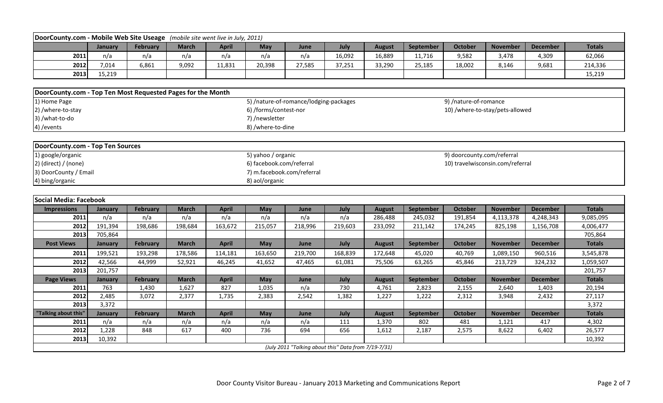| DoorCounty.com - Mobile Web Site Useage                     |         |                 | (mobile site went live in July, 2011) |              |                                        |         |                                                      |               |           |                            |                                  |                 |               |
|-------------------------------------------------------------|---------|-----------------|---------------------------------------|--------------|----------------------------------------|---------|------------------------------------------------------|---------------|-----------|----------------------------|----------------------------------|-----------------|---------------|
|                                                             | January | <b>February</b> | <b>March</b>                          | <b>April</b> | May                                    | June    | July                                                 | <b>August</b> | September | <b>October</b>             | <b>November</b>                  | <b>December</b> | <b>Totals</b> |
| 2011                                                        | n/a     | n/a             | n/a                                   | n/a          | n/a                                    | n/a     | 16,092                                               | 16,889        | 11,716    | 9,582                      | 3,478                            | 4,309           | 62,066        |
| 2012                                                        | 7,014   | 6,861           | 9,092                                 | 11,831       | 20,398                                 | 27,585  | 37,251                                               | 33,290        | 25,185    | 18,002                     | 8,146                            | 9,681           | 214,336       |
| 2013                                                        | 15,219  |                 |                                       |              |                                        |         |                                                      |               |           |                            |                                  |                 | 15,219        |
|                                                             |         |                 |                                       |              |                                        |         |                                                      |               |           |                            |                                  |                 |               |
| DoorCounty.com - Top Ten Most Requested Pages for the Month |         |                 |                                       |              |                                        |         |                                                      |               |           |                            |                                  |                 |               |
| 1) Home Page                                                |         |                 |                                       |              | 5) /nature-of-romance/lodging-packages |         |                                                      |               |           | 9) /nature-of-romance      |                                  |                 |               |
| 2) /where-to-stay                                           |         |                 |                                       |              | 6) /forms/contest-nor                  |         |                                                      |               |           |                            | 10) /where-to-stay/pets-allowed  |                 |               |
| 3) /what-to-do                                              |         |                 |                                       |              | 7) /newsletter                         |         |                                                      |               |           |                            |                                  |                 |               |
| 4) / events                                                 |         |                 |                                       |              | 8) /where-to-dine                      |         |                                                      |               |           |                            |                                  |                 |               |
|                                                             |         |                 |                                       |              |                                        |         |                                                      |               |           |                            |                                  |                 |               |
| <b>DoorCounty.com - Top Ten Sources</b>                     |         |                 |                                       |              |                                        |         |                                                      |               |           |                            |                                  |                 |               |
| 1) google/organic                                           |         |                 |                                       |              | 5) yahoo / organic                     |         |                                                      |               |           | 9) doorcounty.com/referral |                                  |                 |               |
| $2)$ (direct) / (none)                                      |         |                 |                                       |              | 6) facebook.com/referral               |         |                                                      |               |           |                            | 10) travelwisconsin.com/referral |                 |               |
| 3) DoorCounty / Email                                       |         |                 |                                       |              | 7) m.facebook.com/referral             |         |                                                      |               |           |                            |                                  |                 |               |
| 4) bing/organic                                             |         |                 |                                       |              | 8) aol/organic                         |         |                                                      |               |           |                            |                                  |                 |               |
|                                                             |         |                 |                                       |              |                                        |         |                                                      |               |           |                            |                                  |                 |               |
| <b>Social Media: Facebook</b>                               |         |                 |                                       |              |                                        |         |                                                      |               |           |                            |                                  |                 |               |
| <b>Impressions</b>                                          | January | <b>February</b> | <b>March</b>                          | <b>April</b> | May                                    | June    | July                                                 | <b>August</b> | September | <b>October</b>             | <b>November</b>                  | <b>December</b> | <b>Totals</b> |
| 2011                                                        | n/a     | n/a             | n/a                                   | n/a          | n/a                                    | n/a     | n/a                                                  | 286,488       | 245,032   | 191,854                    | 4,113,378                        | 4,248,343       | 9,085,095     |
| 2012                                                        | 191,394 | 198,686         | 198,684                               | 163,672      | 215,057                                | 218,996 | 219,603                                              | 233,092       | 211,142   | 174,245                    | 825,198                          | 1,156,708       | 4,006,477     |
| 2013                                                        | 705,864 |                 |                                       |              |                                        |         |                                                      |               |           |                            |                                  |                 | 705,864       |
| <b>Post Views</b>                                           | January | <b>February</b> | <b>March</b>                          | <b>April</b> | <b>May</b>                             | June    | July                                                 | <b>August</b> | September | <b>October</b>             | <b>November</b>                  | <b>December</b> | <b>Totals</b> |
| 2011                                                        | 199,521 | 193,298         | 178,586                               | 114,181      | 163,650                                | 219,700 | 168,839                                              | 172,648       | 45,020    | 40,769                     | 1,089,150                        | 960,516         | 3,545,878     |
| 2012                                                        | 42,566  | 44,999          | 52,921                                | 46,245       | 41,652                                 | 47,465  | 61,081                                               | 75,506        | 63,265    | 45,846                     | 213,729                          | 324,232         | 1,059,507     |
| 2013                                                        | 201,757 |                 |                                       |              |                                        |         |                                                      |               |           |                            |                                  |                 | 201,757       |
| <b>Page Views</b>                                           | January | <b>February</b> | <b>March</b>                          | <b>April</b> | May                                    | June    | July                                                 | <b>August</b> | September | October                    | <b>November</b>                  | <b>December</b> | <b>Totals</b> |
| 2011                                                        | 763     | 1,430           | 1,627                                 | 827          | 1,035                                  | n/a     | 730                                                  | 4,761         | 2,823     | 2,155                      | 2,640                            | 1,403           | 20,194        |
| 2012                                                        | 2,485   | 3,072           | 2,377                                 | 1,735        | 2,383                                  | 2,542   | 1,382                                                | 1,227         | 1,222     | 2,312                      | 3,948                            | 2,432           | 27,117        |
| 2013                                                        | 3,372   |                 |                                       |              |                                        |         |                                                      |               |           |                            |                                  |                 | 3,372         |
| "Talking about this"                                        | January | <b>February</b> | <b>March</b>                          | <b>April</b> | May                                    | June    | July                                                 | <b>August</b> | September | <b>October</b>             | <b>November</b>                  | <b>December</b> | <b>Totals</b> |
| 2011                                                        | n/a     | n/a             | n/a                                   | n/a          | n/a                                    | n/a     | 111                                                  | 1,370         | 802       | 481                        | 1,121                            | 417             | 4,302         |
| 2012                                                        | 1,228   | 848             | 617                                   | 400          | 736                                    | 694     | 656                                                  | 1,612         | 2,187     | 2,575                      | 8,622                            | 6,402           | 26,577        |
| 2013                                                        | 10,392  |                 |                                       |              |                                        |         |                                                      |               |           |                            |                                  |                 | 10,392        |
|                                                             |         |                 |                                       |              |                                        |         | (July 2011 "Talking about this" Data from 7/19-7/31) |               |           |                            |                                  |                 |               |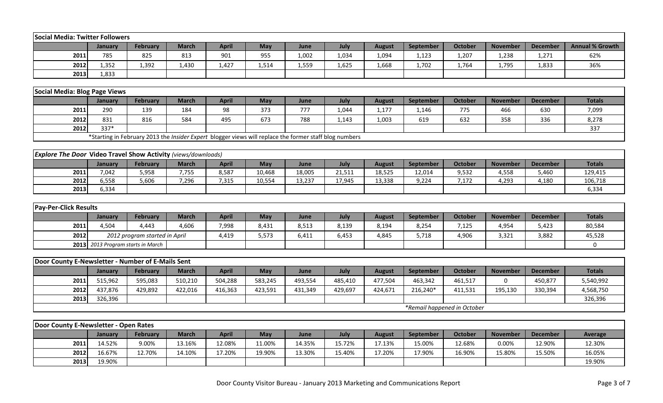| <b>Social Media: Twitter Followers</b>                               |         |                                                                                                        |              |              |         |         |         |               |                  |                             |                 |                 |                        |
|----------------------------------------------------------------------|---------|--------------------------------------------------------------------------------------------------------|--------------|--------------|---------|---------|---------|---------------|------------------|-----------------------------|-----------------|-----------------|------------------------|
|                                                                      | January | <b>February</b>                                                                                        | <b>March</b> | <b>April</b> | May     | June    | July    | <b>August</b> | September        | <b>October</b>              | <b>November</b> | <b>December</b> | <b>Annual % Growth</b> |
| 2011                                                                 | 785     | 825                                                                                                    | 813          | 901          | 955     | 1,002   | 1,034   | 1,094         | 1,123            | 1,207                       | 1,238           | 1,271           | 62%                    |
| 2012                                                                 | 1,352   | 1,392                                                                                                  | 1,430        | 1,427        | 1,514   | 1,559   | 1,625   | 1,668         | 1,702            | 1,764                       | 1,795           | 1,833           | 36%                    |
| 2013                                                                 | 1,833   |                                                                                                        |              |              |         |         |         |               |                  |                             |                 |                 |                        |
|                                                                      |         |                                                                                                        |              |              |         |         |         |               |                  |                             |                 |                 |                        |
| Social Media: Blog Page Views                                        |         |                                                                                                        |              |              |         |         |         |               |                  |                             |                 |                 |                        |
|                                                                      | January | February                                                                                               | <b>March</b> | <b>April</b> | May     | June    | July    | <b>August</b> | September        | <b>October</b>              | <b>November</b> | <b>December</b> | <b>Totals</b>          |
| 2011                                                                 | 290     | 139                                                                                                    | 184          | 98           | 373     | 777     | 1,044   | 1,177         | 1,146            | 775                         | 466             | 630             | 7,099                  |
| 2012                                                                 | 831     | 816                                                                                                    | 584          | 495          | 673     | 788     | 1,143   | 1,003         | 619              | 632                         | 358             | 336             | 8,278                  |
| 2012                                                                 | 337*    |                                                                                                        |              |              |         |         |         |               |                  |                             |                 |                 | 337                    |
|                                                                      |         | *Starting in February 2013 the Insider Expert blogger views will replace the former staff blog numbers |              |              |         |         |         |               |                  |                             |                 |                 |                        |
|                                                                      |         |                                                                                                        |              |              |         |         |         |               |                  |                             |                 |                 |                        |
| <b>Explore The Door Video Travel Show Activity (views/downloads)</b> |         |                                                                                                        |              |              |         |         |         |               |                  |                             |                 |                 |                        |
|                                                                      | January | <b>February</b>                                                                                        | <b>March</b> | <b>April</b> | May     | June    | July    | <b>August</b> | <b>September</b> | <b>October</b>              | <b>November</b> | <b>December</b> | <b>Totals</b>          |
| 2011                                                                 | 7,042   | 5,958                                                                                                  | 7,755        | 8,587        | 10,468  | 18,005  | 21,511  | 18,525        | 12,014           | 9,532                       | 4,558           | 5,460           | 129,415                |
| 2012                                                                 | 6,558   | 5,606                                                                                                  | 7,296        | 7,315        | 10,554  | 13,237  | 17,945  | 13,338        | 9,224            | 7,172                       | 4,293           | 4,180           | 106,718                |
| 2013                                                                 | 6,334   |                                                                                                        |              |              |         |         |         |               |                  |                             |                 |                 | 6,334                  |
|                                                                      |         |                                                                                                        |              |              |         |         |         |               |                  |                             |                 |                 |                        |
| <b>Pay-Per-Click Results</b>                                         |         |                                                                                                        |              |              |         |         |         |               |                  |                             |                 |                 |                        |
|                                                                      | January | <b>February</b>                                                                                        | <b>March</b> | <b>April</b> | May     | June    | July    | <b>August</b> | September        | <b>October</b>              | <b>November</b> | <b>December</b> | <b>Totals</b>          |
| 2011                                                                 | 4,504   | 4,443                                                                                                  | 4,606        | 7,998        | 8,431   | 8,513   | 8,139   | 8,194         | 8,254            | 7,125                       | 4,954           | 5,423           | 80,584                 |
| 2012                                                                 |         | 2012 program started in April                                                                          |              | 4,419        | 5,573   | 6,411   | 6,453   | 4,845         | 5,718            | 4,906                       | 3,321           | 3,882           | 45,528                 |
| 2013                                                                 |         | 2013 Program starts in March                                                                           |              |              |         |         |         |               |                  |                             |                 |                 | $\mathbf 0$            |
|                                                                      |         |                                                                                                        |              |              |         |         |         |               |                  |                             |                 |                 |                        |
| Door County E-Newsletter - Number of E-Mails Sent                    |         |                                                                                                        |              |              |         |         |         |               |                  |                             |                 |                 |                        |
|                                                                      | January | <b>February</b>                                                                                        | <b>March</b> | <b>April</b> | May     | June    | July    | <b>August</b> | September        | <b>October</b>              | <b>November</b> | <b>December</b> | <b>Totals</b>          |
| 2011                                                                 | 515,962 | 595,083                                                                                                | 510,210      | 504,288      | 583,245 | 493,554 | 485,410 | 477,504       | 463,342          | 461,517                     | $\Omega$        | 450,877         | 5,540,992              |
| 2012                                                                 | 437,876 | 429,892                                                                                                | 422,016      | 416,363      | 423,591 | 431,349 | 429,697 | 424,671       | 216,240*         | 411,531                     | 195,130         | 330,394         | 4,568,750              |
| 2013                                                                 | 326,396 |                                                                                                        |              |              |         |         |         |               |                  |                             |                 |                 | 326,396                |
|                                                                      |         |                                                                                                        |              |              |         |         |         |               |                  | *Remail happened in October |                 |                 |                        |
|                                                                      |         |                                                                                                        |              |              |         |         |         |               |                  |                             |                 |                 |                        |
| Door County E-Newsletter - Open Rates                                |         |                                                                                                        |              |              |         |         |         |               |                  |                             |                 |                 |                        |
|                                                                      | January | February                                                                                               | <b>March</b> | <b>April</b> | May     | June    | July    | <b>August</b> | September        | <b>October</b>              | <b>November</b> | <b>December</b> | Average                |
| 2011                                                                 | 14.52%  | 9.00%                                                                                                  | 13.16%       | 12.08%       | 11.00%  | 14.35%  | 15.72%  | 17.13%        | 15.00%           | 12.68%                      | 0.00%           | 12.90%          | 12.30%                 |
| 2012                                                                 | 16.67%  | 12.70%                                                                                                 | 14.10%       | 17.20%       | 19.90%  | 13.30%  | 15.40%  | 17.20%        | 17.90%           | 16.90%                      | 15.80%          | 15.50%          | 16.05%                 |
| 2013                                                                 | 19.90%  |                                                                                                        |              |              |         |         |         |               |                  |                             |                 |                 | 19.90%                 |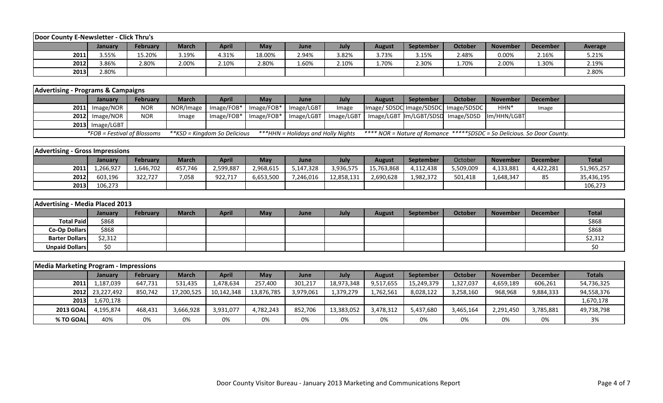| Door County E-Newsletter - Click Thru's |         |                 |              |              |            |       |       |               |                  |         |                 |                 |         |
|-----------------------------------------|---------|-----------------|--------------|--------------|------------|-------|-------|---------------|------------------|---------|-----------------|-----------------|---------|
|                                         | January | <b>February</b> | <b>March</b> | <b>April</b> | <b>May</b> | June  | July  | <b>August</b> | <b>September</b> | October | <b>November</b> | <b>December</b> | Average |
| 2011                                    | 3.55%   | 15.20%          | 3.19%        | 4.31%        | 18.00%     | 2.94% | 3.82% | 3.73%         | 3.15%            | 2.48%   | 0.00%           | 2.16%           | 5.21%   |
| 2012                                    | 3.86%   | 2.80%           | 2.00%        | 2.10%        | 2.80%      | 1.60% | 2.10% | 1.70%         | 2.30%            | 1.70%   | 2.00%           | 1.30%           | 2.19%   |
| 2013                                    | 2.80%   |                 |              |              |            |       |       |               |                  |         |                 |                 | 2.80%   |

| <b>Advertising - Programs &amp; Campaigns</b> |                             |                 |              |                                     |            |                                    |       |        |                  |                                                                                |                  |          |  |
|-----------------------------------------------|-----------------------------|-----------------|--------------|-------------------------------------|------------|------------------------------------|-------|--------|------------------|--------------------------------------------------------------------------------|------------------|----------|--|
|                                               | <b>January</b>              | <b>February</b> | <b>March</b> | <b>April</b>                        | Mav        | June                               | July  | August | <b>September</b> | October                                                                        | <b>November</b>  | December |  |
|                                               | $2011$ Image/NOR            | <b>NOR</b>      |              | NOR/Image   Image/FOB*   Image/FOB* |            | Image/LGBT                         | Image |        |                  | Image/SDSDC Image/SDSDC Image/SDSDC                                            | HHN <sup>*</sup> | Image    |  |
|                                               | $2012$ Image/NOR            | <b>NOR</b>      | Image        | Image/FOB*                          | Image/FOB* |                                    |       |        |                  | Image/LGBT   Image/LGBT   Image/LGBT   Im/LGBT/SDSD   Image/SDSD   Im/HHN/LGBT |                  |          |  |
|                                               | $2013$ Image/LGBT           |                 |              |                                     |            |                                    |       |        |                  |                                                                                |                  |          |  |
|                                               | *FOB = Festival of Blossoms |                 |              | **KSD = Kingdom So Delicious*       |            | ***HHN = Holidays and Holly Nights |       |        |                  | **** NOR = Nature of Romance *****SDSDC = So Delicious. So Door County.        |                  |          |  |

| <b>Advertising - Gross Impressions</b> |                |           |         |           |           |             |            |            |           |           |                 |                 |              |
|----------------------------------------|----------------|-----------|---------|-----------|-----------|-------------|------------|------------|-----------|-----------|-----------------|-----------------|--------------|
|                                        | <b>January</b> | February  | March   | April     | May       | <b>June</b> | July       | August     | September | October   | <b>November</b> | <b>December</b> | <b>Total</b> |
| 2011                                   | .,266,927      | 1,646,702 | 457.746 | 2,599,887 | 2,968,615 | 5,147,328   | 3,936,575  | 15,763,868 | 4,112,438 | 5,509,009 | 4,133,881       | 4,422,281       | 51,965,257   |
| 2012                                   | 603,196        | 322.727   | 7,058   | 922,717   | 6,653,500 | 7,246,016   | 12,858,131 | 2,690,628  | 1,982,372 | 501,418   | .,648,347       | 85              | 35,436,195   |
| 2013                                   | 106,273        |           |         |           |           |             |            |            |           |           |                 |                 | 106,273      |

| Advertising - Media Placed 2013 |         |                 |              |              |     |      |      |               |                  |         |          |          |              |
|---------------------------------|---------|-----------------|--------------|--------------|-----|------|------|---------------|------------------|---------|----------|----------|--------------|
|                                 | January | <b>February</b> | <b>March</b> | <b>April</b> | May | June | July | <b>August</b> | <b>September</b> | October | November | December | <b>Total</b> |
| <b>Total Paid</b>               | \$868   |                 |              |              |     |      |      |               |                  |         |          |          | \$868        |
| Co-Op Dollars                   | \$868   |                 |              |              |     |      |      |               |                  |         |          |          | \$868        |
| <b>Barter Dollars</b>           | \$2,312 |                 |              |              |     |      |      |               |                  |         |          |          | \$2,312      |
| <b>Unpaid Dollars</b>           | \$0     |                 |              |              |     |      |      |               |                  |         |          |          |              |

| <b>Media Marketing Program - Impressions</b> |                 |                 |              |              |            |           |            |               |                  |                |                 |                 |               |
|----------------------------------------------|-----------------|-----------------|--------------|--------------|------------|-----------|------------|---------------|------------------|----------------|-----------------|-----------------|---------------|
|                                              | January         | <b>February</b> | <b>March</b> | <b>April</b> | <b>May</b> | June      | July       | <b>August</b> | <b>September</b> | <b>October</b> | <b>November</b> | <b>December</b> | <b>Totals</b> |
| 2011                                         | 1,187,039       | 647,731         | 531,435      | 1,478,634    | 257,400    | 301,217   | 18,973,348 | 9,517,655     | 15,249,379       | 1,327,037      | 4,659,189       | 606,261         | 54,736,325    |
|                                              | 2012 23,227,492 | 850,742         | 17,200,525   | 10,142,348   | 13,876,785 | 3,979,061 | 1,379,279  | 1,762,561     | 8,028,122        | 3,258,160      | 968,968         | 9,884,333       | 94,558,376    |
| 2013                                         | 1,670,178       |                 |              |              |            |           |            |               |                  |                |                 |                 | 1,670,178     |
| <b>2013 GOAL</b>                             | 4.195.874       | 468,431         | 3,666,928    | 3,931,077    | 4,782,243  | 852.706   | 13,383,052 | 3,478,312     | 5,437,680        | 3,465,164      | 2,291,450       | 3,785,881       | 49,738,798    |
| % TO GOAL                                    | 40%             | 0%              | 0%           | 0%           | 0%         | 0%        | 0%         | 0%            | 0%               | 0%             | 0%              | 0%              | 3%            |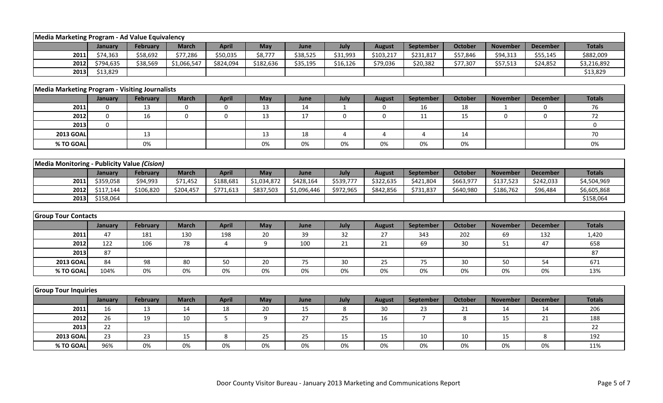| Media Marketing Program - Ad Value Equivalency        |             |                 |                  |              |             |             |              |                |                |                |                 |                 |               |
|-------------------------------------------------------|-------------|-----------------|------------------|--------------|-------------|-------------|--------------|----------------|----------------|----------------|-----------------|-----------------|---------------|
|                                                       | January     | February        | <b>March</b>     | <b>April</b> | May         | June        | July         | <b>August</b>  | September      | <b>October</b> | <b>November</b> | <b>December</b> | <b>Totals</b> |
| 2011                                                  | \$74,363    | \$58,692        | \$77,286         | \$50,035     | \$8,777     | \$38,525    | \$31,993     | \$103,217      | \$231,817      | \$57,846       | \$94,313        | \$55,145        | \$882,009     |
| 2012                                                  | \$794,635   | \$38,569        | \$1,066,547      | \$824,094    | \$182,636   | \$35,195    | \$16,126     | \$79,036       | \$20,382       | \$77,307       | \$57,513        | \$24,852        | \$3,216,892   |
| 2013                                                  | \$13,829    |                 |                  |              |             |             |              |                |                |                |                 |                 | \$13,829      |
|                                                       |             |                 |                  |              |             |             |              |                |                |                |                 |                 |               |
| <b>Media Marketing Program - Visiting Journalists</b> |             |                 |                  |              |             |             |              |                |                |                |                 |                 |               |
|                                                       | January     | February        | <b>March</b>     | <b>April</b> | May         | June        | July         | <b>August</b>  | September      | <b>October</b> | <b>November</b> | <b>December</b> | <b>Totals</b> |
| 2011                                                  | $\pmb{0}$   | 13              | $\boldsymbol{0}$ | 0            | 13          | 14          | $\mathbf{1}$ | 0              | 16             | 18             | $\overline{1}$  | $\mathbf 0$     | 76            |
| 2012                                                  | $\mathbf 0$ | 16              | $\mathbf 0$      | $\pmb{0}$    | 13          | 17          | 0            | $\mathbf 0$    | 11             | 15             | 0               | $\mathbf 0$     | 72            |
| 2013                                                  | $\mathbf 0$ |                 |                  |              |             |             |              |                |                |                |                 |                 | 0             |
| <b>2013 GOAL</b>                                      |             | 13              |                  |              | 13          | 18          | 4            | $\overline{4}$ | $\overline{4}$ | 14             |                 |                 | 70            |
| % TO GOAL                                             |             | 0%              |                  |              | 0%          | 0%          | 0%           | 0%             | 0%             | 0%             |                 |                 | 0%            |
|                                                       |             |                 |                  |              |             |             |              |                |                |                |                 |                 |               |
| Media Monitoring - Publicity Value (Cision)           |             |                 |                  |              |             |             |              |                |                |                |                 |                 |               |
|                                                       | January     | February        | <b>March</b>     | <b>April</b> | May         | June        | July         | <b>August</b>  | September      | October        | <b>November</b> | <b>December</b> | <b>Totals</b> |
| 2011                                                  | \$359,058   | \$94,993        | \$71,452         | \$188,681    | \$1,034,872 | \$428,164   | \$539,777    | \$322,635      | \$421,804      | \$663,977      | \$137,523       | \$242,033       | \$4,504,969   |
| 2012                                                  | \$117,144   | \$106,820       | \$204,457        | \$771,613    | \$837,503   | \$1,096,446 | \$972,965    | \$842,856      | \$731,837      | \$640,980      | \$186,762       | \$96,484        | \$6,605,868   |
| 2013                                                  | \$158,064   |                 |                  |              |             |             |              |                |                |                |                 |                 | \$158,064     |
|                                                       |             |                 |                  |              |             |             |              |                |                |                |                 |                 |               |
| <b>Group Tour Contacts</b>                            |             |                 |                  |              |             |             |              |                |                |                |                 |                 |               |
|                                                       | January     | February        | <b>March</b>     | <b>April</b> | May         | June        | July         | <b>August</b>  | September      | <b>October</b> | <b>November</b> | <b>December</b> | <b>Totals</b> |
| 2011                                                  | 47          | 181             | 130              | 198          | 20          | 39          | 32           | 27             | 343            | 202            | 69              | 132             | 1,420         |
| 2012                                                  | 122         | 106             | 78               | 4            | 9           | 100         | 21           | 21             | 69             | 30             | 51              | 47              | 658           |
| 2013                                                  | 87          |                 |                  |              |             |             |              |                |                |                |                 |                 | 87            |
| <b>2013 GOAL</b>                                      | 84          | 98              | 80               | 50           | 20          | 75          | 30           | 25             | 75             | 30             | 50              | 54              | 671           |
| % TO GOAL                                             | 104%        | 0%              | 0%               | 0%           | 0%          | 0%          | 0%           | 0%             | 0%             | 0%             | 0%              | 0%              | 13%           |
|                                                       |             |                 |                  |              |             |             |              |                |                |                |                 |                 |               |
| <b>Group Tour Inquiries</b>                           |             |                 |                  |              |             |             |              |                |                |                |                 |                 |               |
|                                                       | January     | <b>February</b> | <b>March</b>     | <b>April</b> | May         | June        | July         | <b>August</b>  | September      | <b>October</b> | <b>November</b> | <b>December</b> | <b>Totals</b> |
| 2011                                                  | 16          | 13              | 14               | 18           | 20          | 15          | 8            | 30             | 23             | 21             | 14              | 14              | 206           |
| 2012                                                  | 26          | 19              | 10               | 5            | 9           | 27          | 25           | 16             | $\overline{7}$ | 8              | 15              | 21              | 188           |
| 2013                                                  | 22          |                 |                  |              |             |             |              |                |                |                |                 |                 | 22            |
| <b>2013 GOAL</b>                                      | 23          | 23              | 15               | 8            | 25          | 25          | 15           | 15             | 10             | 10             | 15              | 8               | 192           |
| % TO GOAL                                             | 96%         | 0%              | 0%               | 0%           | 0%          | 0%          | 0%           | 0%             | 0%             | 0%             | 0%              | 0%              | 11%           |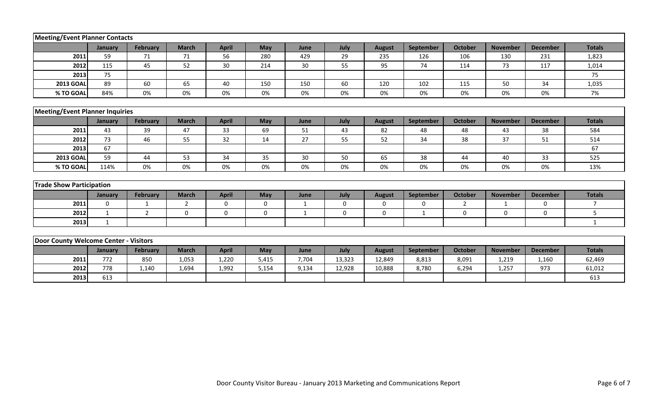| <b>Meeting/Event Planner Contacts</b>  |              |                 |              |              |       |       |             |               |                  |                |                 |                 |                |
|----------------------------------------|--------------|-----------------|--------------|--------------|-------|-------|-------------|---------------|------------------|----------------|-----------------|-----------------|----------------|
|                                        | January      | <b>February</b> | <b>March</b> | <b>April</b> | May   | June  | July        | <b>August</b> | <b>September</b> | <b>October</b> | <b>November</b> | <b>December</b> | <b>Totals</b>  |
| 2011                                   | 59           | 71              | 71           | 56           | 280   | 429   | 29          | 235           | 126              | 106            | 130             | 231             | 1,823          |
| 2012                                   | 115          | 45              | 52           | 30           | 214   | 30    | 55          | 95            | 74               | 114            | 73              | 117             | 1,014          |
| 2013                                   | 75           |                 |              |              |       |       |             |               |                  |                |                 |                 | 75             |
| <b>2013 GOAL</b>                       | 89           | 60              | 65           | 40           | 150   | 150   | 60          | 120           | 102              | 115            | 50              | 34              | 1,035          |
| % TO GOAL                              | 84%          | 0%              | 0%           | 0%           | 0%    | 0%    | 0%          | 0%            | 0%               | 0%             | 0%              | 0%              | 7%             |
|                                        |              |                 |              |              |       |       |             |               |                  |                |                 |                 |                |
| <b>Meeting/Event Planner Inquiries</b> |              |                 |              |              |       |       |             |               |                  |                |                 |                 |                |
|                                        | January      | <b>February</b> | <b>March</b> | <b>April</b> | May   | June  | July        | <b>August</b> | September        | <b>October</b> | <b>November</b> | <b>December</b> | <b>Totals</b>  |
| 2011                                   | 43           | 39              | 47           | 33           | 69    | 51    | 43          | 82            | 48               | 48             | 43              | 38              | 584            |
| 2012                                   | 73           | 46              | 55           | 32           | 14    | 27    | 55          | 52            | 34               | 38             | 37              | 51              | 514            |
| 2013                                   | 67           |                 |              |              |       |       |             |               |                  |                |                 |                 | 67             |
| <b>2013 GOAL</b>                       | 59           | 44              | 53           | 34           | 35    | 30    | 50          | 65            | 38               | 44             | 40              | 33              | 525            |
| % TO GOAL                              | 114%         | 0%              | 0%           | 0%           | 0%    | 0%    | 0%          | 0%            | 0%               | 0%             | 0%              | 0%              | 13%            |
|                                        |              |                 |              |              |       |       |             |               |                  |                |                 |                 |                |
| <b>Trade Show Participation</b>        |              |                 |              |              |       |       |             |               |                  |                |                 |                 |                |
|                                        | January      | <b>February</b> | <b>March</b> | <b>April</b> | May   | June  | July        | <b>August</b> | <b>September</b> | <b>October</b> | <b>November</b> | <b>December</b> | <b>Totals</b>  |
| 2011                                   | $\Omega$     | 1               | 2            | $\mathbf 0$  | 0     | 1     | $\mathbf 0$ | $\mathbf 0$   | 0                | $\overline{2}$ | $\mathbf{1}$    | $\mathbf{0}$    | $\overline{7}$ |
| 2012                                   | 1            | 2               | $\mathbf 0$  | $\mathbf 0$  | 0     | 1     | $\mathbf 0$ | 0             | 1                | 0              | 0               | $\mathbf 0$     | 5              |
| 2013                                   | $\mathbf{1}$ |                 |              |              |       |       |             |               |                  |                |                 |                 | $\mathbf{1}$   |
|                                        |              |                 |              |              |       |       |             |               |                  |                |                 |                 |                |
| Door County Welcome Center - Visitors  |              |                 |              |              |       |       |             |               |                  |                |                 |                 |                |
|                                        | January      | <b>February</b> | <b>March</b> | <b>April</b> | May   | June  | July        | <b>August</b> | September        | <b>October</b> | <b>November</b> | <b>December</b> | <b>Totals</b>  |
| 2011                                   | 772          | 850             | 1,053        | 1,220        | 5,415 | 7,704 | 13,323      | 12,849        | 8,813            | 8,091          | 1,219           | 1,160           | 62,469         |
| 2012                                   | 778          | 1,140           | 1,694        | 1,992        | 5,154 | 9,134 | 12,928      | 10,888        | 8,780            | 6,294          | 1,257           | 973             | 61,012         |
| 2013                                   | 613          |                 |              |              |       |       |             |               |                  |                |                 |                 | 613            |